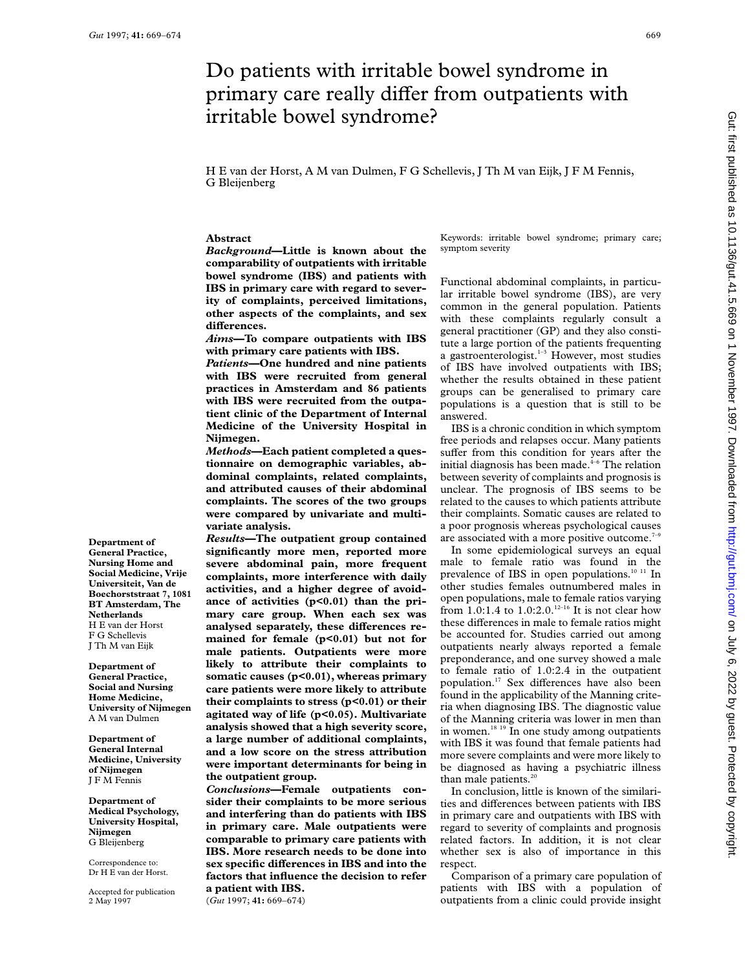**Department of General Practice, Nursing Home and Social Medicine, Vrije Universiteit, Van de Boechorststraat 7, 1081 BT Amsterdam, The Netherlands** H E van der Horst F G Schellevis J Th M van Eijk **Department of General Practice, Social and Nursing Home Medicine, University of Nijmegen** A M van Dulmen **Department of General Internal Medicine, University of Nijmegen** JFMFennis **Department of Medical Psychology, University Hospital,**

**Nijmegen** G Bleijenberg Correspondence to: Dr H E van der Horst. Accepted for publication 2 May 1997

# Do patients with irritable bowel syndrome in primary care really differ from outpatients with irritable bowel syndrome?

H E van der Horst, A M van Dulmen, F G Schellevis, J Th M van Eijk, JFMFennis, G Bleijenberg

## **Abstract**

*Background***—Little is known about the comparability of outpatients with irritable bowel syndrome (IBS) and patients with IBS in primary care with regard to severity of complaints, perceived limitations, other aspects of the complaints, and sex**  $d$ **ifferences.** 

*Aims***—To compare outpatients with IBS with primary care patients with IBS.**

*Patients***—One hundred and nine patients with IBS were recruited from general practices in Amsterdam and 86 patients with IBS were recruited from the outpatient clinic of the Department of Internal Medicine of the University Hospital in Nijmegen.**

*Methods***—Each patient completed a questionnaire on demographic variables, abdominal complaints, related complaints, and attributed causes of their abdominal complaints. The scores of the two groups were compared by univariate and multivariate analysis.**

*Results***—The outpatient group contained significantly more men, reported more severe abdominal pain, more frequent complaints, more interference with daily activities, and a higher degree of avoidance of activities (p<0.01) than the primary care group. When each sex was** analysed separately, these differences re**mained for female (p<0.01) but not for male patients. Outpatients were more likely to attribute their complaints to somatic causes (p<0.01), whereas primary care patients were more likely to attribute their complaints to stress (p<0.01) or their agitated way of life (p<0.05). Multivariate analysis showed that a high severity score, a large number of additional complaints, and a low score on the stress attribution were important determinants for being in the outpatient group.**

*Conclusions***—Female outpatients consider their complaints to be more serious and interfering than do patients with IBS in primary care. Male outpatients were comparable to primary care patients with IBS. More research needs to be done into** sex specific differences in IBS and into the **factors that influence the decision to refer a patient with IBS.**

(*Gut* 1997; **41:** 669–674)

Keywords: irritable bowel syndrome; primary care; symptom severity

Functional abdominal complaints, in particular irritable bowel syndrome (IBS), are very common in the general population. Patients with these complaints regularly consult a general practitioner (GP) and they also constitute a large portion of the patients frequenting a gastroenterologist. $1-3$  However, most studies of IBS have involved outpatients with IBS; whether the results obtained in these patient groups can be generalised to primary care populations is a question that is still to be answered.

IBS is a chronic condition in which symptom free periods and relapses occur. Many patients suffer from this condition for years after the initial diagnosis has been made. $4-6$  The relation between severity of complaints and prognosis is unclear. The prognosis of IBS seems to be related to the causes to which patients attribute their complaints. Somatic causes are related to a poor prognosis whereas psychological causes are associated with a more positive outcome.<sup>7-9</sup>

In some epidemiological surveys an equal male to female ratio was found in the prevalence of IBS in open populations.<sup>10 11</sup> In other studies females outnumbered males in open populations, male to female ratios varying from 1.0:1.4 to  $1.0:2.0$ .<sup>12-16</sup> It is not clear how these differences in male to female ratios might be accounted for. Studies carried out among outpatients nearly always reported a female preponderance, and one survey showed a male to female ratio of 1.0:2.4 in the outpatient population.<sup>17</sup> Sex differences have also been found in the applicability of the Manning criteria when diagnosing IBS. The diagnostic value of the Manning criteria was lower in men than in women. $18 19$  In one study among outpatients with IBS it was found that female patients had more severe complaints and were more likely to be diagnosed as having a psychiatric illness than male patients. $20$ 

In conclusion, little is known of the similarities and differences between patients with IBS in primary care and outpatients with IBS with regard to severity of complaints and prognosis related factors. In addition, it is not clear whether sex is also of importance in this respect.

Comparison of a primary care population of patients with IBS with a population of outpatients from a clinic could provide insight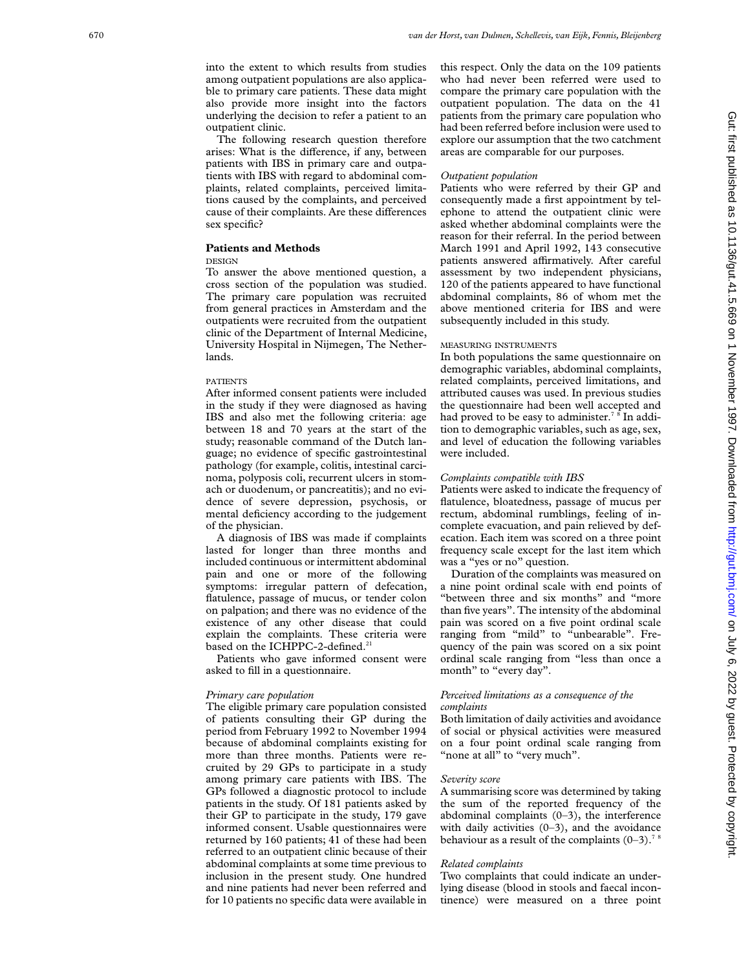into the extent to which results from studies among outpatient populations are also applicable to primary care patients. These data might also provide more insight into the factors underlying the decision to refer a patient to an outpatient clinic.

The following research question therefore arises: What is the difference, if any, between patients with IBS in primary care and outpatients with IBS with regard to abdominal complaints, related complaints, perceived limitations caused by the complaints, and perceived cause of their complaints. Are these differences sex specific?

## **Patients and Methods**

## DESIGN

To answer the above mentioned question, a cross section of the population was studied. The primary care population was recruited from general practices in Amsterdam and the outpatients were recruited from the outpatient clinic of the Department of Internal Medicine, University Hospital in Nijmegen, The Netherlands.

## PATIENTS

After informed consent patients were included in the study if they were diagnosed as having IBS and also met the following criteria: age between 18 and 70 years at the start of the study; reasonable command of the Dutch language; no evidence of specific gastrointestinal pathology (for example, colitis, intestinal carcinoma, polyposis coli, recurrent ulcers in stomach or duodenum, or pancreatitis); and no evidence of severe depression, psychosis, or mental deficiency according to the judgement of the physician.

A diagnosis of IBS was made if complaints lasted for longer than three months and included continuous or intermittent abdominal pain and one or more of the following symptoms: irregular pattern of defecation, flatulence, passage of mucus, or tender colon on palpation; and there was no evidence of the existence of any other disease that could explain the complaints. These criteria were based on the ICHPPC-2-defined.<sup>21</sup>

Patients who gave informed consent were asked to fill in a questionnaire.

## *Primary care population*

The eligible primary care population consisted of patients consulting their GP during the period from February 1992 to November 1994 because of abdominal complaints existing for more than three months. Patients were recruited by 29 GPs to participate in a study among primary care patients with IBS. The GPs followed a diagnostic protocol to include patients in the study. Of 181 patients asked by their GP to participate in the study, 179 gave informed consent. Usable questionnaires were returned by 160 patients; 41 of these had been referred to an outpatient clinic because of their abdominal complaints at some time previous to inclusion in the present study. One hundred and nine patients had never been referred and for 10 patients no specific data were available in

this respect. Only the data on the 109 patients who had never been referred were used to compare the primary care population with the outpatient population. The data on the 41 patients from the primary care population who had been referred before inclusion were used to explore our assumption that the two catchment areas are comparable for our purposes.

## *Outpatient population*

Patients who were referred by their GP and consequently made a first appointment by telephone to attend the outpatient clinic were asked whether abdominal complaints were the reason for their referral. In the period between March 1991 and April 1992, 143 consecutive patients answered affirmatively. After careful assessment by two independent physicians, 120 of the patients appeared to have functional abdominal complaints, 86 of whom met the above mentioned criteria for IBS and were subsequently included in this study.

## MEASURING INSTRUMENTS

In both populations the same questionnaire on demographic variables, abdominal complaints, related complaints, perceived limitations, and attributed causes was used. In previous studies the questionnaire had been well accepted and had proved to be easy to administer.<sup>7</sup> <sup>8</sup> In addition to demographic variables, such as age, sex, and level of education the following variables were included.

## *Complaints compatible with IBS*

Patients were asked to indicate the frequency of flatulence, bloatedness, passage of mucus per rectum, abdominal rumblings, feeling of incomplete evacuation, and pain relieved by defecation. Each item was scored on a three point frequency scale except for the last item which was a "yes or no" question.

Duration of the complaints was measured on a nine point ordinal scale with end points of "between three and six months" and "more than five years". The intensity of the abdominal pain was scored on a five point ordinal scale ranging from "mild" to "unbearable". Frequency of the pain was scored on a six point ordinal scale ranging from "less than once a month" to "every day".

## *Perceived limitations as a consequence of the complaints*

Both limitation of daily activities and avoidance of social or physical activities were measured on a four point ordinal scale ranging from "none at all<sup>3</sup> to "very much".

## *Severity score*

A summarising score was determined by taking the sum of the reported frequency of the abdominal complaints (0–3), the interference with daily activities  $(0-3)$ , and the avoidance behaviour as a result of the complaints  $(0-3)$ .<sup>7</sup>

## *Related complaints*

Two complaints that could indicate an underlying disease (blood in stools and faecal incontinence) were measured on a three point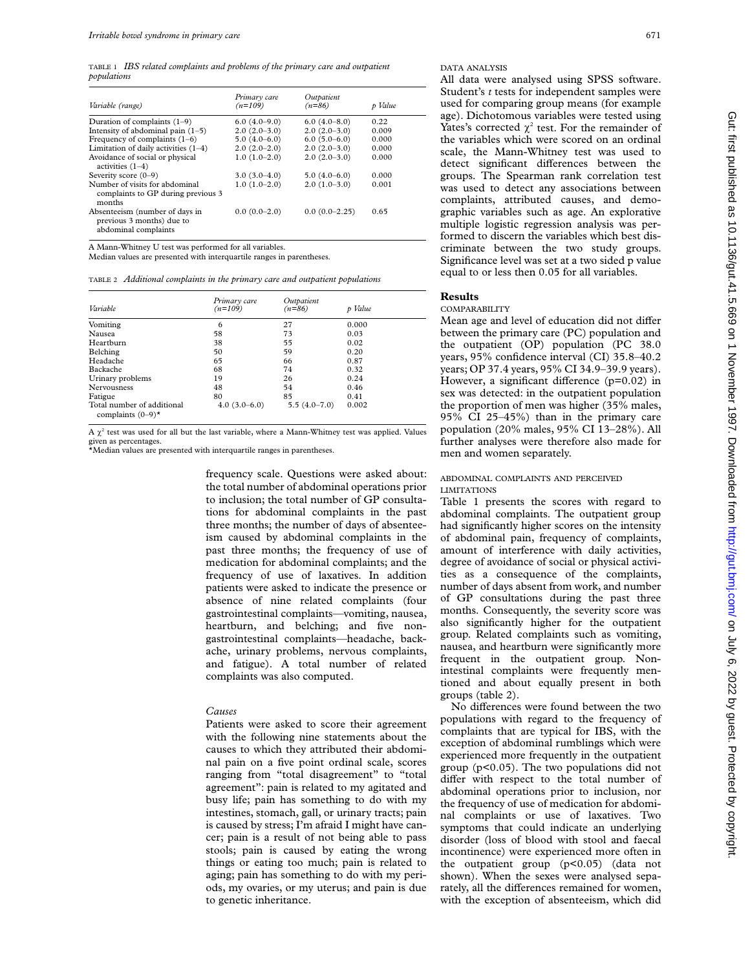TABLE 1 *IBS related complaints and problems of the primary care and outpatient populations*

| Variable (range)                                                                    | Primary care<br>$(n=109)$ | Outpatient<br>$(n=86)$ | p Value |
|-------------------------------------------------------------------------------------|---------------------------|------------------------|---------|
| Duration of complaints $(1-9)$                                                      | $6.0(4.0-9.0)$            | $6.0(4.0-8.0)$         | 0.22    |
| Intensity of abdominal pain $(1-5)$                                                 | $2.0(2.0-3.0)$            | $2.0(2.0-3.0)$         | 0.009   |
| Frequency of complaints $(1-6)$                                                     | $5.0(4.0-6.0)$            | $6.0(5.0-6.0)$         | 0.000   |
| Limitation of daily activities $(1-4)$                                              | $2.0(2.0-2.0)$            | $2.0(2.0-3.0)$         | 0.000   |
| Avoidance of social or physical<br>activities $(1-4)$                               | $1.0(1.0-2.0)$            | $2.0(2.0-3.0)$         | 0.000   |
| Severity score $(0-9)$                                                              | $3.0(3.0-4.0)$            | $5.0(4.0-6.0)$         | 0.000   |
| Number of visits for abdominal<br>complaints to GP during previous 3<br>months      | $1.0(1.0-2.0)$            | $2.0(1.0-3.0)$         | 0.001   |
| Absenteeism (number of days in<br>previous 3 months) due to<br>abdominal complaints | $0.0(0.0-2.0)$            | $0.0(0.0-2.25)$        | 0.65    |

A Mann-Whitney U test was performed for all variables.

Median values are presented with interquartile ranges in parentheses.

TABLE 2 *Additional complaints in the primary care and outpatient populations*

| Variable                                                      | Primary care<br>$(n=109)$ | Outpatient<br>$(n=86)$ | p Value |
|---------------------------------------------------------------|---------------------------|------------------------|---------|
| Vomiting                                                      | 6                         | 27                     | 0.000   |
| Nausea                                                        | 58                        | 73                     | 0.03    |
| Heartburn                                                     | 38                        | 55                     | 0.02    |
| Belching                                                      | 50                        | 59                     | 0.20    |
| Headache                                                      | 65                        | 66                     | 0.87    |
| Backache                                                      | 68                        | 74                     | 0.32    |
| Urinary problems                                              | 19                        | 26                     | 0.24    |
| Nervousness                                                   | 48                        | 54                     | 0.46    |
| Fatigue                                                       | 80                        | 85                     | 0.41    |
| Total number of additional<br>complaints $(0-9)$ <sup>*</sup> | $4.0(3.0-6.0)$            | $5.5(4.0-7.0)$         | 0.002   |

A  $\chi^2$  test was used for all but the last variable, where a Mann-Whitney test was applied. Values given as percentages. \*Median values are presented with interquartile ranges in parentheses.

frequency scale. Questions were asked about: the total number of abdominal operations prior to inclusion; the total number of GP consultations for abdominal complaints in the past three months; the number of days of absenteeism caused by abdominal complaints in the past three months; the frequency of use of medication for abdominal complaints; and the frequency of use of laxatives. In addition patients were asked to indicate the presence or absence of nine related complaints (four gastrointestinal complaints—vomiting, nausea, heartburn, and belching; and five nongastrointestinal complaints—headache, backache, urinary problems, nervous complaints, and fatigue). A total number of related complaints was also computed.

## *Causes*

Patients were asked to score their agreement with the following nine statements about the causes to which they attributed their abdominal pain on a five point ordinal scale, scores ranging from "total disagreement" to "total agreement": pain is related to my agitated and busy life; pain has something to do with my intestines, stomach, gall, or urinary tracts; pain is caused by stress; I'm afraid I might have cancer; pain is a result of not being able to pass stools; pain is caused by eating the wrong things or eating too much; pain is related to aging; pain has something to do with my periods, my ovaries, or my uterus; and pain is due to genetic inheritance.

All data were analysed using SPSS software. Student's *t* tests for independent samples were used for comparing group means (for example age). Dichotomous variables were tested using Yates's corrected  $\chi^2$  test. For the remainder of the variables which were scored on an ordinal scale, the Mann-Whitney test was used to detect significant differences between the groups. The Spearman rank correlation test was used to detect any associations between complaints, attributed causes, and demographic variables such as age. An explorative multiple logistic regression analysis was performed to discern the variables which best discriminate between the two study groups. Significance level was set at a two sided p value equal to or less then 0.05 for all variables.

# **Results**

COMPARABILITY

Mean age and level of education did not differ between the primary care (PC) population and the outpatient (OP) population (PC 38.0 years, 95% confidence interval (CI) 35.8–40.2 years; OP 37.4 years, 95% CI 34.9–39.9 years). However, a significant difference  $(p=0.02)$  in sex was detected: in the outpatient population the proportion of men was higher (35% males, 95% CI 25–45%) than in the primary care population (20% males, 95% CI 13–28%). All further analyses were therefore also made for men and women separately.

#### ABDOMINAL COMPLAINTS AND PERCEIVED LIMITATIONS

Table 1 presents the scores with regard to abdominal complaints. The outpatient group had significantly higher scores on the intensity of abdominal pain, frequency of complaints, amount of interference with daily activities, degree of avoidance of social or physical activities as a consequence of the complaints, number of days absent from work, and number of GP consultations during the past three months. Consequently, the severity score was also significantly higher for the outpatient group. Related complaints such as vomiting, nausea, and heartburn were significantly more frequent in the outpatient group. Nonintestinal complaints were frequently mentioned and about equally present in both groups (table 2).

No differences were found between the two populations with regard to the frequency of complaints that are typical for IBS, with the exception of abdominal rumblings which were experienced more frequently in the outpatient group (p<0.05). The two populations did not differ with respect to the total number of abdominal operations prior to inclusion, nor the frequency of use of medication for abdominal complaints or use of laxatives. Two symptoms that could indicate an underlying disorder (loss of blood with stool and faecal incontinence) were experienced more often in the outpatient group (p<0.05) (data not shown). When the sexes were analysed separately, all the differences remained for women, with the exception of absenteeism, which did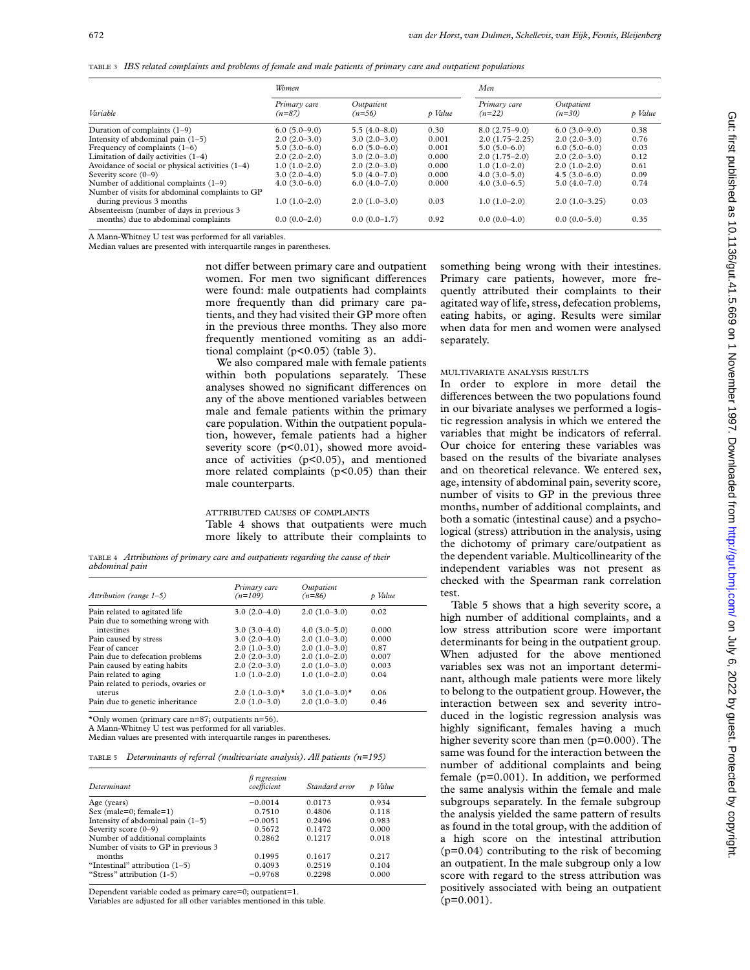TABLE 3 *IBS related complaints and problems of female and male patients of primary care and outpatient populations*

|                                                    | Women                    |                        |         | Men                      |                        |         |
|----------------------------------------------------|--------------------------|------------------------|---------|--------------------------|------------------------|---------|
| Variable                                           | Primary care<br>$(n=87)$ | Outpatient<br>$(n=56)$ | p Value | Primary care<br>$(n=22)$ | Outpatient<br>$(n=30)$ | p Value |
| Duration of complaints $(1-9)$                     | $6.0(5.0-9.0)$           | $5.5(4.0 - 8.0)$       | 0.30    | $8.0(2.75-9.0)$          | $6.0(3.0-9.0)$         | 0.38    |
| Intensity of abdominal pain $(1-5)$                | $2.0(2.0-3.0)$           | $3.0(2.0-3.0)$         | 0.001   | $2.0(1.75-2.25)$         | $2.0(2.0-3.0)$         | 0.76    |
| Frequency of complaints $(1-6)$                    | $5.0(3.0-6.0)$           | $6.0(5.0-6.0)$         | 0.001   | $5.0(5.0-6.0)$           | $6.0(5.0-6.0)$         | 0.03    |
| Limitation of daily activities $(1-4)$             | $2.0(2.0-2.0)$           | $3.0(2.0-3.0)$         | 0.000   | $2.0(1.75-2.0)$          | $2.0(2.0-3.0)$         | 0.12    |
| Avoidance of social or physical activities $(1-4)$ | $1.0(1.0-2.0)$           | $2.0(2.0-3.0)$         | 0.000   | $1.0(1.0-2.0)$           | $2.0(1.0-2.0)$         | 0.61    |
| Severity score (0–9)                               | $3.0(2.0-4.0)$           | $5.0(4.0-7.0)$         | 0.000   | $4.0(3.0-5.0)$           | $4.5(3.0-6.0)$         | 0.09    |
| Number of additional complaints $(1-9)$            | $4.0(3.0-6.0)$           | $6.0(4.0-7.0)$         | 0.000   | $4.0(3.0-6.5)$           | $5.0(4.0-7.0)$         | 0.74    |
| Number of visits for abdominal complaints to GP    |                          |                        |         |                          |                        |         |
| during previous 3 months                           | $1.0(1.0-2.0)$           | $2.0(1.0-3.0)$         | 0.03    | $1.0(1.0-2.0)$           | $2.0(1.0-3.25)$        | 0.03    |
| Absenteeism (number of days in previous 3)         |                          |                        |         |                          |                        |         |
| months) due to abdominal complaints                | $0.0(0.0-2.0)$           | $0.0(0.0-1.7)$         | 0.92    | $0.0(0.0-4.0)$           | $0.0(0.0-5.0)$         | 0.35    |

A Mann-Whitney U test was performed for all variables.

Median values are presented with interquartile ranges in parentheses.

not differ between primary care and outpatient women. For men two significant differences were found: male outpatients had complaints more frequently than did primary care patients, and they had visited their GP more often in the previous three months. They also more frequently mentioned vomiting as an additional complaint (p<0.05) (table 3).

We also compared male with female patients within both populations separately. These analyses showed no significant differences on any of the above mentioned variables between male and female patients within the primary care population. Within the outpatient population, however, female patients had a higher severity score  $(p<0.01)$ , showed more avoidance of activities  $(p<0.05)$ , and mentioned more related complaints (p<0.05) than their male counterparts.

ATTRIBUTED CAUSES OF COMPLAINTS Table 4 shows that outpatients were much more likely to attribute their complaints to

TABLE 4 *Attributions of primary care and outpatients regarding the cause of their abdominal pain*

| Attribution (range $1-5$ )          | Primary care<br>$(n=109)$ | Outpatient<br>$(n=86)$       | p Value |
|-------------------------------------|---------------------------|------------------------------|---------|
| Pain related to agitated life       | $3.0(2.0-4.0)$            | $2.0(1.0-3.0)$               | 0.02    |
| Pain due to something wrong with    |                           |                              |         |
| intestines                          | $3.0(3.0-4.0)$            | $4.0(3.0-5.0)$               | 0.000   |
| Pain caused by stress               | $3.0(2.0-4.0)$            | $2.0(1.0-3.0)$               | 0.000   |
| Fear of cancer                      | $2.0(1.0-3.0)$            | $2.0(1.0-3.0)$               | 0.87    |
| Pain due to defecation problems     | $2.0(2.0-3.0)$            | $2.0(1.0-2.0)$               | 0.007   |
| Pain caused by eating habits        | $2.0(2.0-3.0)$            | $2.0(1.0-3.0)$               | 0.003   |
| Pain related to aging               | $1.0(1.0-2.0)$            | $1.0(1.0-2.0)$               | 0.04    |
| Pain related to periods, ovaries or |                           |                              |         |
| uterus                              | $2.0(1.0-3.0)$ *          | 3.0 $(1.0-3.0)$ <sup>*</sup> | 0.06    |
| Pain due to genetic inheritance     | $2.0(1.0-3.0)$            | $2.0(1.0-3.0)$               | 0.46    |

\*Only women (primary care n=87; outpatients n=56).

A Mann-Whitney U test was performed for all variables.

Median values are presented with interquartile ranges in parentheses.

TABLE 5 *Determinants of referral (multivariate analysis). All patients (n=195)*

| Determinant                          | $\beta$ regression<br>coefficient | Standard error | p Value |
|--------------------------------------|-----------------------------------|----------------|---------|
| Age (years)                          | $-0.0014$                         | 0.0173         | 0.934   |
| Sex (male=0; female=1)               | 0.7510                            | 0.4806         | 0.118   |
| Intensity of abdominal pain $(1-5)$  | $-0.0051$                         | 0.2496         | 0.983   |
| Severity score (0-9)                 | 0.5672                            | 0.1472         | 0.000   |
| Number of additional complaints      | 0.2862                            | 0.1217         | 0.018   |
| Number of visits to GP in previous 3 |                                   |                |         |
| months                               | 0.1995                            | 0.1617         | 0.217   |
| "Intestinal" attribution (1–5)       | 0.4093                            | 0.2519         | 0.104   |
| "Stress" attribution (1-5)           | $-0.9768$                         | 0.2298         | 0.000   |

Dependent variable coded as primary care=0; outpatient=1.

Variables are adjusted for all other variables mentioned in this table.

something being wrong with their intestines. Primary care patients, however, more frequently attributed their complaints to their agitated way of life, stress, defecation problems, eating habits, or aging. Results were similar when data for men and women were analysed separately.

# MULTIVARIATE ANALYSIS RESULTS

In order to explore in more detail the differences between the two populations found in our bivariate analyses we performed a logistic regression analysis in which we entered the variables that might be indicators of referral. Our choice for entering these variables was based on the results of the bivariate analyses and on theoretical relevance. We entered sex, age, intensity of abdominal pain, severity score, number of visits to GP in the previous three months, number of additional complaints, and both a somatic (intestinal cause) and a psychological (stress) attribution in the analysis, using the dichotomy of primary care/outpatient as the dependent variable. Multicollinearity of the independent variables was not present as checked with the Spearman rank correlation test.

Table 5 shows that a high severity score, a high number of additional complaints, and a low stress attribution score were important determinants for being in the outpatient group. When adjusted for the above mentioned variables sex was not an important determinant, although male patients were more likely to belong to the outpatient group. However, the interaction between sex and severity introduced in the logistic regression analysis was highly significant, females having a much higher severity score than men (p=0.000). The same was found for the interaction between the number of additional complaints and being female (p=0.001). In addition, we performed the same analysis within the female and male subgroups separately. In the female subgroup the analysis yielded the same pattern of results as found in the total group, with the addition of a high score on the intestinal attribution  $(p=0.04)$  contributing to the risk of becoming an outpatient. In the male subgroup only a low score with regard to the stress attribution was positively associated with being an outpatient  $(p=0.001)$ .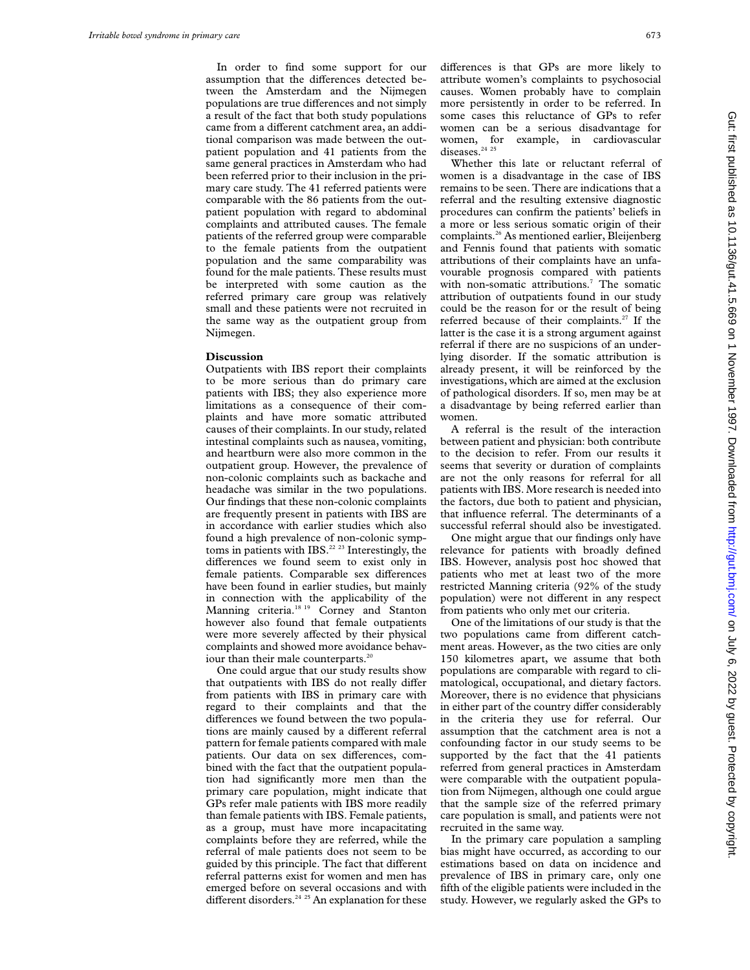In order to find some support for our assumption that the differences detected between the Amsterdam and the Nijmegen populations are true differences and not simply a result of the fact that both study populations came from a different catchment area, an additional comparison was made between the outpatient population and 41 patients from the same general practices in Amsterdam who had been referred prior to their inclusion in the primary care study. The 41 referred patients were comparable with the 86 patients from the outpatient population with regard to abdominal complaints and attributed causes. The female patients of the referred group were comparable to the female patients from the outpatient population and the same comparability was found for the male patients. These results must be interpreted with some caution as the referred primary care group was relatively small and these patients were not recruited in the same way as the outpatient group from Nijmegen.

#### **Discussion**

Outpatients with IBS report their complaints to be more serious than do primary care patients with IBS; they also experience more limitations as a consequence of their complaints and have more somatic attributed causes of their complaints. In our study, related intestinal complaints such as nausea, vomiting, and heartburn were also more common in the outpatient group. However, the prevalence of non-colonic complaints such as backache and headache was similar in the two populations. Our findings that these non-colonic complaints are frequently present in patients with IBS are in accordance with earlier studies which also found a high prevalence of non-colonic symptoms in patients with IBS.<sup>22</sup> <sup>23</sup> Interestingly, the differences we found seem to exist only in female patients. Comparable sex differences have been found in earlier studies, but mainly in connection with the applicability of the Manning criteria.<sup>18 19</sup> Corney and Stanton however also found that female outpatients were more severely affected by their physical complaints and showed more avoidance behaviour than their male counterparts.<sup>20</sup>

One could argue that our study results show that outpatients with IBS do not really differ from patients with IBS in primary care with regard to their complaints and that the differences we found between the two populations are mainly caused by a different referral pattern for female patients compared with male patients. Our data on sex differences, combined with the fact that the outpatient population had significantly more men than the primary care population, might indicate that GPs refer male patients with IBS more readily than female patients with IBS. Female patients, as a group, must have more incapacitating complaints before they are referred, while the referral of male patients does not seem to be guided by this principle. The fact that different referral patterns exist for women and men has emerged before on several occasions and with different disorders.<sup>24 25</sup> An explanation for these

differences is that GPs are more likely to attribute women's complaints to psychosocial causes. Women probably have to complain more persistently in order to be referred. In some cases this reluctance of GPs to refer women can be a serious disadvantage for women, for example, in cardiovascular diseases.<sup>24</sup><sup>25</sup>

Whether this late or reluctant referral of women is a disadvantage in the case of IBS remains to be seen. There are indications that a referral and the resulting extensive diagnostic procedures can confirm the patients' beliefs in a more or less serious somatic origin of their complaints.26 As mentioned earlier, Bleijenberg and Fennis found that patients with somatic attributions of their complaints have an unfavourable prognosis compared with patients with non-somatic attributions.<sup>7</sup> The somatic attribution of outpatients found in our study could be the reason for or the result of being referred because of their complaints.<sup>27</sup> If the latter is the case it is a strong argument against referral if there are no suspicions of an underlying disorder. If the somatic attribution is already present, it will be reinforced by the investigations, which are aimed at the exclusion of pathological disorders. If so, men may be at a disadvantage by being referred earlier than women.

A referral is the result of the interaction between patient and physician: both contribute to the decision to refer. From our results it seems that severity or duration of complaints are not the only reasons for referral for all patients with IBS. More research is needed into the factors, due both to patient and physician, that influence referral. The determinants of a successful referral should also be investigated.

One might argue that our findings only have relevance for patients with broadly defined IBS. However, analysis post hoc showed that patients who met at least two of the more restricted Manning criteria (92% of the study population) were not different in any respect from patients who only met our criteria.

One of the limitations of our study is that the two populations came from different catchment areas. However, as the two cities are only 150 kilometres apart, we assume that both populations are comparable with regard to climatological, occupational, and dietary factors. Moreover, there is no evidence that physicians in either part of the country differ considerably in the criteria they use for referral. Our assumption that the catchment area is not a confounding factor in our study seems to be supported by the fact that the 41 patients referred from general practices in Amsterdam were comparable with the outpatient population from Nijmegen, although one could argue that the sample size of the referred primary care population is small, and patients were not recruited in the same way.

In the primary care population a sampling bias might have occurred, as according to our estimations based on data on incidence and prevalence of IBS in primary care, only one fifth of the eligible patients were included in the study. However, we regularly asked the GPs to